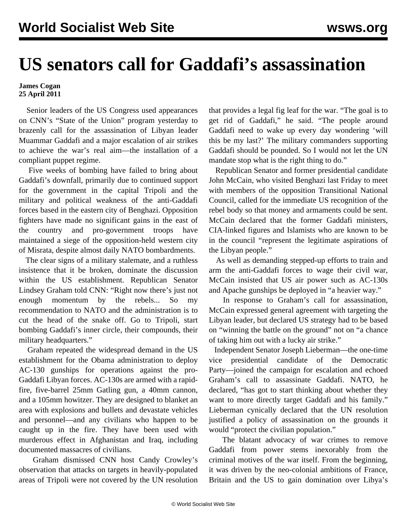## **US senators call for Gaddafi's assassination**

## **James Cogan 25 April 2011**

 Senior leaders of the US Congress used appearances on CNN's "State of the Union" program yesterday to brazenly call for the assassination of Libyan leader Muammar Gaddafi and a major escalation of air strikes to achieve the war's real aim—the installation of a compliant puppet regime.

 Five weeks of bombing have failed to bring about Gaddafi's downfall, primarily due to continued support for the government in the capital Tripoli and the military and political weakness of the anti-Gaddafi forces based in the eastern city of Benghazi. Opposition fighters have made no significant gains in the east of the country and pro-government troops have maintained a siege of the opposition-held western city of Misrata, despite almost daily NATO bombardments.

 The clear signs of a military stalemate, and a ruthless insistence that it be broken, dominate the discussion within the US establishment. Republican Senator Lindsey Graham told CNN: "Right now there's just not enough momentum by the rebels... So my recommendation to NATO and the administration is to cut the head of the snake off. Go to Tripoli, start bombing Gaddafi's inner circle, their compounds, their military headquarters."

 Graham repeated the widespread demand in the US establishment for the Obama administration to deploy AC-130 gunships for operations against the pro-Gaddafi Libyan forces. AC-130s are armed with a rapidfire, five-barrel 25mm Gatling gun, a 40mm cannon, and a 105mm howitzer. They are designed to blanket an area with explosions and bullets and devastate vehicles and personnel—and any civilians who happen to be caught up in the fire. They have been used with murderous effect in Afghanistan and Iraq, including documented massacres of civilians.

 Graham dismissed CNN host Candy Crowley's observation that attacks on targets in heavily-populated areas of Tripoli were not covered by the UN resolution that provides a legal fig leaf for the war. "The goal is to get rid of Gaddafi," he said. "The people around Gaddafi need to wake up every day wondering 'will this be my last?' The military commanders supporting Gaddafi should be pounded. So I would not let the UN mandate stop what is the right thing to do."

 Republican Senator and former presidential candidate John McCain, who visited Benghazi last Friday to meet with members of the opposition Transitional National Council, called for the immediate US recognition of the rebel body so that money and armaments could be sent. McCain declared that the former Gaddafi ministers, CIA-linked figures and Islamists who are known to be in the council "represent the legitimate aspirations of the Libyan people."

 As well as demanding stepped-up efforts to train and arm the anti-Gaddafi forces to wage their civil war, McCain insisted that US air power such as AC-130s and Apache gunships be deployed in "a heavier way."

 In response to Graham's call for assassination, McCain expressed general agreement with targeting the Libyan leader, but declared US strategy had to be based on "winning the battle on the ground" not on "a chance of taking him out with a lucky air strike."

 Independent Senator Joseph Lieberman—the one-time vice presidential candidate of the Democratic Party—joined the campaign for escalation and echoed Graham's call to assassinate Gaddafi. NATO, he declared, "has got to start thinking about whether they want to more directly target Gaddafi and his family." Lieberman cynically declared that the UN resolution justified a policy of assassination on the grounds it would "protect the civilian population."

 The blatant advocacy of war crimes to remove Gaddafi from power stems inexorably from the criminal motives of the war itself. From the beginning, it was driven by the neo-colonial ambitions of France, Britain and the US to gain domination over Libya's